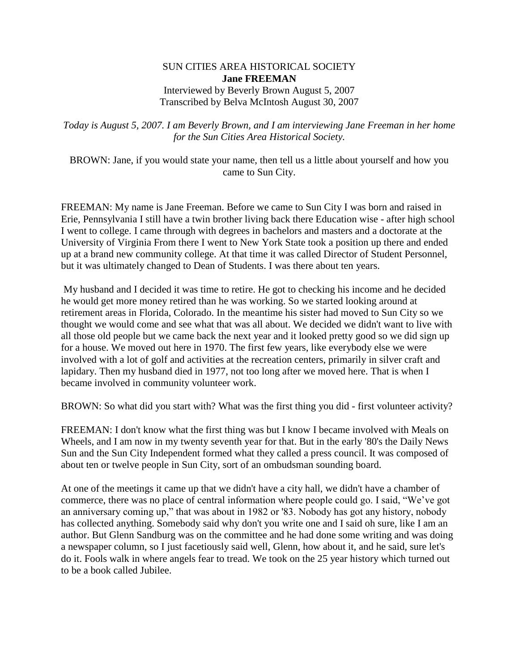## SUN CITIES AREA HISTORICAL SOCIETY **Jane FREEMAN** Interviewed by Beverly Brown August 5, 2007 Transcribed by Belva McIntosh August 30, 2007

*Today is August 5, 2007. I am Beverly Brown, and I am interviewing Jane Freeman in her home for the Sun Cities Area Historical Society.*

BROWN: Jane, if you would state your name, then tell us a little about yourself and how you came to Sun City.

FREEMAN: My name is Jane Freeman. Before we came to Sun City I was born and raised in Erie, Pennsylvania I still have a twin brother living back there Education wise - after high school I went to college. I came through with degrees in bachelors and masters and a doctorate at the University of Virginia From there I went to New York State took a position up there and ended up at a brand new community college. At that time it was called Director of Student Personnel, but it was ultimately changed to Dean of Students. I was there about ten years.

My husband and I decided it was time to retire. He got to checking his income and he decided he would get more money retired than he was working. So we started looking around at retirement areas in Florida, Colorado. In the meantime his sister had moved to Sun City so we thought we would come and see what that was all about. We decided we didn't want to live with all those old people but we came back the next year and it looked pretty good so we did sign up for a house. We moved out here in 1970. The first few years, like everybody else we were involved with a lot of golf and activities at the recreation centers, primarily in silver craft and lapidary. Then my husband died in 1977, not too long after we moved here. That is when I became involved in community volunteer work.

BROWN: So what did you start with? What was the first thing you did - first volunteer activity?

FREEMAN: I don't know what the first thing was but I know I became involved with Meals on Wheels, and I am now in my twenty seventh year for that. But in the early '80's the Daily News Sun and the Sun City Independent formed what they called a press council. It was composed of about ten or twelve people in Sun City, sort of an ombudsman sounding board.

At one of the meetings it came up that we didn't have a city hall, we didn't have a chamber of commerce, there was no place of central information where people could go. I said, "We've got an anniversary coming up," that was about in 1982 or '83. Nobody has got any history, nobody has collected anything. Somebody said why don't you write one and I said oh sure, like I am an author. But Glenn Sandburg was on the committee and he had done some writing and was doing a newspaper column, so I just facetiously said well, Glenn, how about it, and he said, sure let's do it. Fools walk in where angels fear to tread. We took on the 25 year history which turned out to be a book called Jubilee.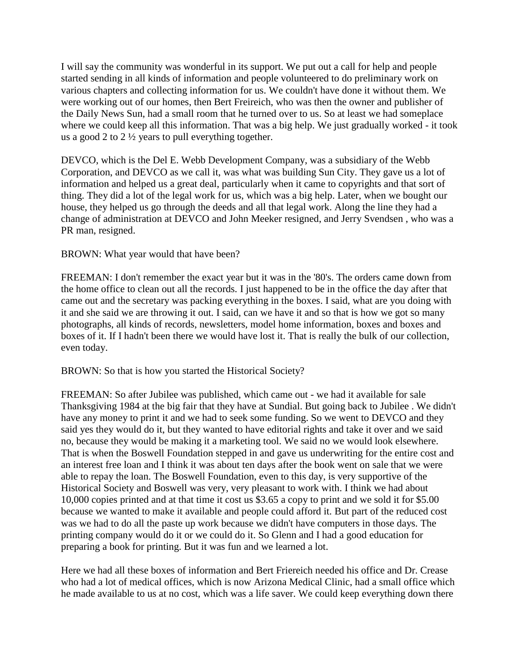I will say the community was wonderful in its support. We put out a call for help and people started sending in all kinds of information and people volunteered to do preliminary work on various chapters and collecting information for us. We couldn't have done it without them. We were working out of our homes, then Bert Freireich, who was then the owner and publisher of the Daily News Sun, had a small room that he turned over to us. So at least we had someplace where we could keep all this information. That was a big help. We just gradually worked - it took us a good 2 to 2 ½ years to pull everything together.

DEVCO, which is the Del E. Webb Development Company, was a subsidiary of the Webb Corporation, and DEVCO as we call it, was what was building Sun City. They gave us a lot of information and helped us a great deal, particularly when it came to copyrights and that sort of thing. They did a lot of the legal work for us, which was a big help. Later, when we bought our house, they helped us go through the deeds and all that legal work. Along the line they had a change of administration at DEVCO and John Meeker resigned, and Jerry Svendsen , who was a PR man, resigned.

BROWN: What year would that have been?

FREEMAN: I don't remember the exact year but it was in the '80's. The orders came down from the home office to clean out all the records. I just happened to be in the office the day after that came out and the secretary was packing everything in the boxes. I said, what are you doing with it and she said we are throwing it out. I said, can we have it and so that is how we got so many photographs, all kinds of records, newsletters, model home information, boxes and boxes and boxes of it. If I hadn't been there we would have lost it. That is really the bulk of our collection, even today.

BROWN: So that is how you started the Historical Society?

FREEMAN: So after Jubilee was published, which came out - we had it available for sale Thanksgiving 1984 at the big fair that they have at Sundial. But going back to Jubilee . We didn't have any money to print it and we had to seek some funding. So we went to DEVCO and they said yes they would do it, but they wanted to have editorial rights and take it over and we said no, because they would be making it a marketing tool. We said no we would look elsewhere. That is when the Boswell Foundation stepped in and gave us underwriting for the entire cost and an interest free loan and I think it was about ten days after the book went on sale that we were able to repay the loan. The Boswell Foundation, even to this day, is very supportive of the Historical Society and Boswell was very, very pleasant to work with. I think we had about 10,000 copies printed and at that time it cost us \$3.65 a copy to print and we sold it for \$5.00 because we wanted to make it available and people could afford it. But part of the reduced cost was we had to do all the paste up work because we didn't have computers in those days. The printing company would do it or we could do it. So Glenn and I had a good education for preparing a book for printing. But it was fun and we learned a lot.

Here we had all these boxes of information and Bert Friereich needed his office and Dr. Crease who had a lot of medical offices, which is now Arizona Medical Clinic, had a small office which he made available to us at no cost, which was a life saver. We could keep everything down there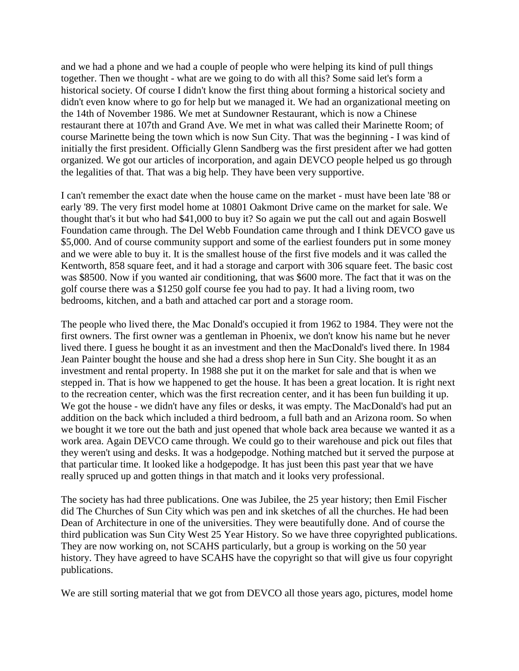and we had a phone and we had a couple of people who were helping its kind of pull things together. Then we thought - what are we going to do with all this? Some said let's form a historical society. Of course I didn't know the first thing about forming a historical society and didn't even know where to go for help but we managed it. We had an organizational meeting on the 14th of November 1986. We met at Sundowner Restaurant, which is now a Chinese restaurant there at 107th and Grand Ave. We met in what was called their Marinette Room; of course Marinette being the town which is now Sun City. That was the beginning - I was kind of initially the first president. Officially Glenn Sandberg was the first president after we had gotten organized. We got our articles of incorporation, and again DEVCO people helped us go through the legalities of that. That was a big help. They have been very supportive.

I can't remember the exact date when the house came on the market - must have been late '88 or early '89. The very first model home at 10801 Oakmont Drive came on the market for sale. We thought that's it but who had \$41,000 to buy it? So again we put the call out and again Boswell Foundation came through. The Del Webb Foundation came through and I think DEVCO gave us \$5,000. And of course community support and some of the earliest founders put in some money and we were able to buy it. It is the smallest house of the first five models and it was called the Kentworth, 858 square feet, and it had a storage and carport with 306 square feet. The basic cost was \$8500. Now if you wanted air conditioning, that was \$600 more. The fact that it was on the golf course there was a \$1250 golf course fee you had to pay. It had a living room, two bedrooms, kitchen, and a bath and attached car port and a storage room.

The people who lived there, the Mac Donald's occupied it from 1962 to 1984. They were not the first owners. The first owner was a gentleman in Phoenix, we don't know his name but he never lived there. I guess he bought it as an investment and then the MacDonald's lived there. In 1984 Jean Painter bought the house and she had a dress shop here in Sun City. She bought it as an investment and rental property. In 1988 she put it on the market for sale and that is when we stepped in. That is how we happened to get the house. It has been a great location. It is right next to the recreation center, which was the first recreation center, and it has been fun building it up. We got the house - we didn't have any files or desks, it was empty. The MacDonald's had put an addition on the back which included a third bedroom, a full bath and an Arizona room. So when we bought it we tore out the bath and just opened that whole back area because we wanted it as a work area. Again DEVCO came through. We could go to their warehouse and pick out files that they weren't using and desks. It was a hodgepodge. Nothing matched but it served the purpose at that particular time. It looked like a hodgepodge. It has just been this past year that we have really spruced up and gotten things in that match and it looks very professional.

The society has had three publications. One was Jubilee, the 25 year history; then Emil Fischer did The Churches of Sun City which was pen and ink sketches of all the churches. He had been Dean of Architecture in one of the universities. They were beautifully done. And of course the third publication was Sun City West 25 Year History. So we have three copyrighted publications. They are now working on, not SCAHS particularly, but a group is working on the 50 year history. They have agreed to have SCAHS have the copyright so that will give us four copyright publications.

We are still sorting material that we got from DEVCO all those years ago, pictures, model home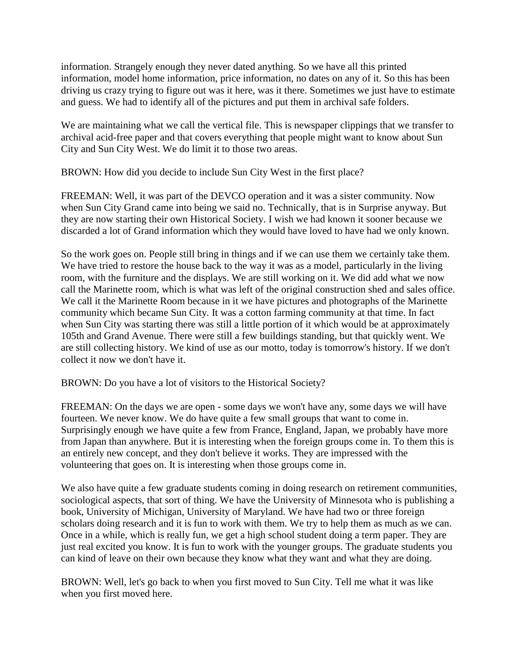information. Strangely enough they never dated anything. So we have all this printed information, model home information, price information, no dates on any of it. So this has been driving us crazy trying to figure out was it here, was it there. Sometimes we just have to estimate and guess. We had to identify all of the pictures and put them in archival safe folders.

We are maintaining what we call the vertical file. This is newspaper clippings that we transfer to archival acid-free paper and that covers everything that people might want to know about Sun City and Sun City West. We do limit it to those two areas.

BROWN: How did you decide to include Sun City West in the first place?

FREEMAN: Well, it was part of the DEVCO operation and it was a sister community. Now when Sun City Grand came into being we said no. Technically, that is in Surprise anyway. But they are now starting their own Historical Society. I wish we had known it sooner because we discarded a lot of Grand information which they would have loved to have had we only known.

So the work goes on. People still bring in things and if we can use them we certainly take them. We have tried to restore the house back to the way it was as a model, particularly in the living room, with the furniture and the displays. We are still working on it. We did add what we now call the Marinette room, which is what was left of the original construction shed and sales office. We call it the Marinette Room because in it we have pictures and photographs of the Marinette community which became Sun City. It was a cotton farming community at that time. In fact when Sun City was starting there was still a little portion of it which would be at approximately 105th and Grand Avenue. There were still a few buildings standing, but that quickly went. We are still collecting history. We kind of use as our motto, today is tomorrow's history. If we don't collect it now we don't have it.

BROWN: Do you have a lot of visitors to the Historical Society?

FREEMAN: On the days we are open - some days we won't have any, some days we will have fourteen. We never know. We do have quite a few small groups that want to come in. Surprisingly enough we have quite a few from France, England, Japan, we probably have more from Japan than anywhere. But it is interesting when the foreign groups come in. To them this is an entirely new concept, and they don't believe it works. They are impressed with the volunteering that goes on. It is interesting when those groups come in.

We also have quite a few graduate students coming in doing research on retirement communities, sociological aspects, that sort of thing. We have the University of Minnesota who is publishing a book, University of Michigan, University of Maryland. We have had two or three foreign scholars doing research and it is fun to work with them. We try to help them as much as we can. Once in a while, which is really fun, we get a high school student doing a term paper. They are just real excited you know. It is fun to work with the younger groups. The graduate students you can kind of leave on their own because they know what they want and what they are doing.

BROWN: Well, let's go back to when you first moved to Sun City. Tell me what it was like when you first moved here.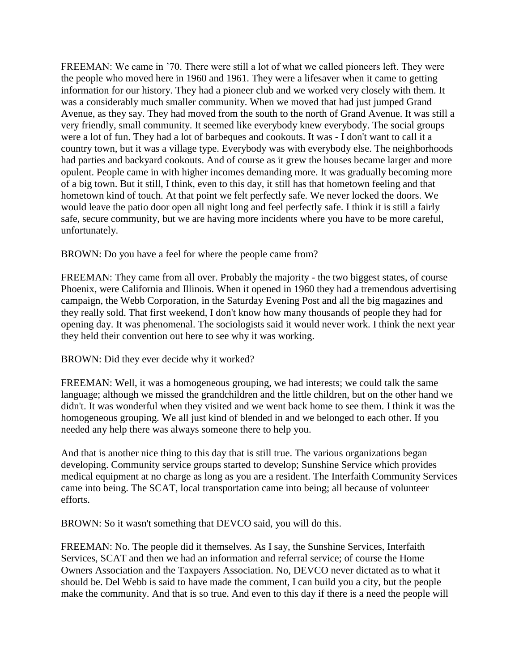FREEMAN: We came in '70. There were still a lot of what we called pioneers left. They were the people who moved here in 1960 and 1961. They were a lifesaver when it came to getting information for our history. They had a pioneer club and we worked very closely with them. It was a considerably much smaller community. When we moved that had just jumped Grand Avenue, as they say. They had moved from the south to the north of Grand Avenue. It was still a very friendly, small community. It seemed like everybody knew everybody. The social groups were a lot of fun. They had a lot of barbeques and cookouts. It was - I don't want to call it a country town, but it was a village type. Everybody was with everybody else. The neighborhoods had parties and backyard cookouts. And of course as it grew the houses became larger and more opulent. People came in with higher incomes demanding more. It was gradually becoming more of a big town. But it still, I think, even to this day, it still has that hometown feeling and that hometown kind of touch. At that point we felt perfectly safe. We never locked the doors. We would leave the patio door open all night long and feel perfectly safe. I think it is still a fairly safe, secure community, but we are having more incidents where you have to be more careful, unfortunately.

BROWN: Do you have a feel for where the people came from?

FREEMAN: They came from all over. Probably the majority - the two biggest states, of course Phoenix, were California and Illinois. When it opened in 1960 they had a tremendous advertising campaign, the Webb Corporation, in the Saturday Evening Post and all the big magazines and they really sold. That first weekend, I don't know how many thousands of people they had for opening day. It was phenomenal. The sociologists said it would never work. I think the next year they held their convention out here to see why it was working.

BROWN: Did they ever decide why it worked?

FREEMAN: Well, it was a homogeneous grouping, we had interests; we could talk the same language; although we missed the grandchildren and the little children, but on the other hand we didn't. It was wonderful when they visited and we went back home to see them. I think it was the homogeneous grouping. We all just kind of blended in and we belonged to each other. If you needed any help there was always someone there to help you.

And that is another nice thing to this day that is still true. The various organizations began developing. Community service groups started to develop; Sunshine Service which provides medical equipment at no charge as long as you are a resident. The Interfaith Community Services came into being. The SCAT, local transportation came into being; all because of volunteer efforts.

BROWN: So it wasn't something that DEVCO said, you will do this.

FREEMAN: No. The people did it themselves. As I say, the Sunshine Services, Interfaith Services, SCAT and then we had an information and referral service; of course the Home Owners Association and the Taxpayers Association. No, DEVCO never dictated as to what it should be. Del Webb is said to have made the comment, I can build you a city, but the people make the community. And that is so true. And even to this day if there is a need the people will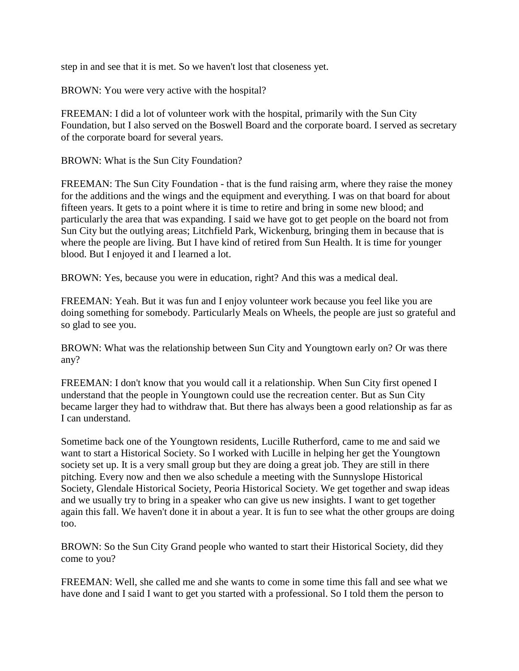step in and see that it is met. So we haven't lost that closeness yet.

BROWN: You were very active with the hospital?

FREEMAN: I did a lot of volunteer work with the hospital, primarily with the Sun City Foundation, but I also served on the Boswell Board and the corporate board. I served as secretary of the corporate board for several years.

BROWN: What is the Sun City Foundation?

FREEMAN: The Sun City Foundation - that is the fund raising arm, where they raise the money for the additions and the wings and the equipment and everything. I was on that board for about fifteen years. It gets to a point where it is time to retire and bring in some new blood; and particularly the area that was expanding. I said we have got to get people on the board not from Sun City but the outlying areas; Litchfield Park, Wickenburg, bringing them in because that is where the people are living. But I have kind of retired from Sun Health. It is time for younger blood. But I enjoyed it and I learned a lot.

BROWN: Yes, because you were in education, right? And this was a medical deal.

FREEMAN: Yeah. But it was fun and I enjoy volunteer work because you feel like you are doing something for somebody. Particularly Meals on Wheels, the people are just so grateful and so glad to see you.

BROWN: What was the relationship between Sun City and Youngtown early on? Or was there any?

FREEMAN: I don't know that you would call it a relationship. When Sun City first opened I understand that the people in Youngtown could use the recreation center. But as Sun City became larger they had to withdraw that. But there has always been a good relationship as far as I can understand.

Sometime back one of the Youngtown residents, Lucille Rutherford, came to me and said we want to start a Historical Society. So I worked with Lucille in helping her get the Youngtown society set up. It is a very small group but they are doing a great job. They are still in there pitching. Every now and then we also schedule a meeting with the Sunnyslope Historical Society, Glendale Historical Society, Peoria Historical Society. We get together and swap ideas and we usually try to bring in a speaker who can give us new insights. I want to get together again this fall. We haven't done it in about a year. It is fun to see what the other groups are doing too.

BROWN: So the Sun City Grand people who wanted to start their Historical Society, did they come to you?

FREEMAN: Well, she called me and she wants to come in some time this fall and see what we have done and I said I want to get you started with a professional. So I told them the person to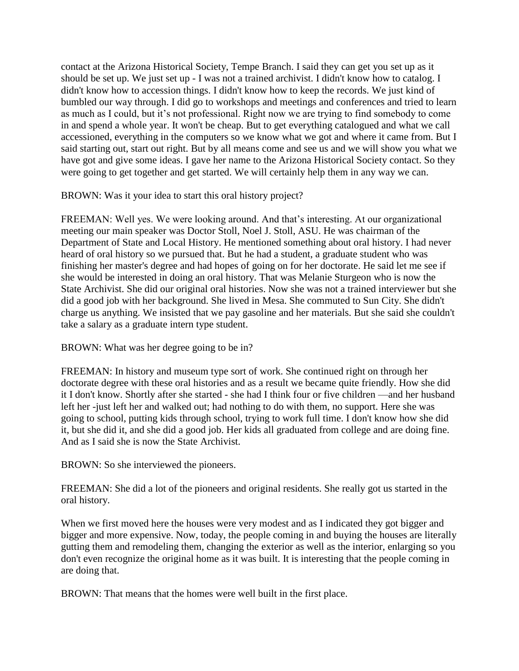contact at the Arizona Historical Society, Tempe Branch. I said they can get you set up as it should be set up. We just set up - I was not a trained archivist. I didn't know how to catalog. I didn't know how to accession things. I didn't know how to keep the records. We just kind of bumbled our way through. I did go to workshops and meetings and conferences and tried to learn as much as I could, but it's not professional. Right now we are trying to find somebody to come in and spend a whole year. It won't be cheap. But to get everything catalogued and what we call accessioned, everything in the computers so we know what we got and where it came from. But I said starting out, start out right. But by all means come and see us and we will show you what we have got and give some ideas. I gave her name to the Arizona Historical Society contact. So they were going to get together and get started. We will certainly help them in any way we can.

BROWN: Was it your idea to start this oral history project?

FREEMAN: Well yes. We were looking around. And that's interesting. At our organizational meeting our main speaker was Doctor Stoll, Noel J. Stoll, ASU. He was chairman of the Department of State and Local History. He mentioned something about oral history. I had never heard of oral history so we pursued that. But he had a student, a graduate student who was finishing her master's degree and had hopes of going on for her doctorate. He said let me see if she would be interested in doing an oral history. That was Melanie Sturgeon who is now the State Archivist. She did our original oral histories. Now she was not a trained interviewer but she did a good job with her background. She lived in Mesa. She commuted to Sun City. She didn't charge us anything. We insisted that we pay gasoline and her materials. But she said she couldn't take a salary as a graduate intern type student.

BROWN: What was her degree going to be in?

FREEMAN: In history and museum type sort of work. She continued right on through her doctorate degree with these oral histories and as a result we became quite friendly. How she did it I don't know. Shortly after she started - she had I think four or five children —and her husband left her -just left her and walked out; had nothing to do with them, no support. Here she was going to school, putting kids through school, trying to work full time. I don't know how she did it, but she did it, and she did a good job. Her kids all graduated from college and are doing fine. And as I said she is now the State Archivist.

BROWN: So she interviewed the pioneers.

FREEMAN: She did a lot of the pioneers and original residents. She really got us started in the oral history.

When we first moved here the houses were very modest and as I indicated they got bigger and bigger and more expensive. Now, today, the people coming in and buying the houses are literally gutting them and remodeling them, changing the exterior as well as the interior, enlarging so you don't even recognize the original home as it was built. It is interesting that the people coming in are doing that.

BROWN: That means that the homes were well built in the first place.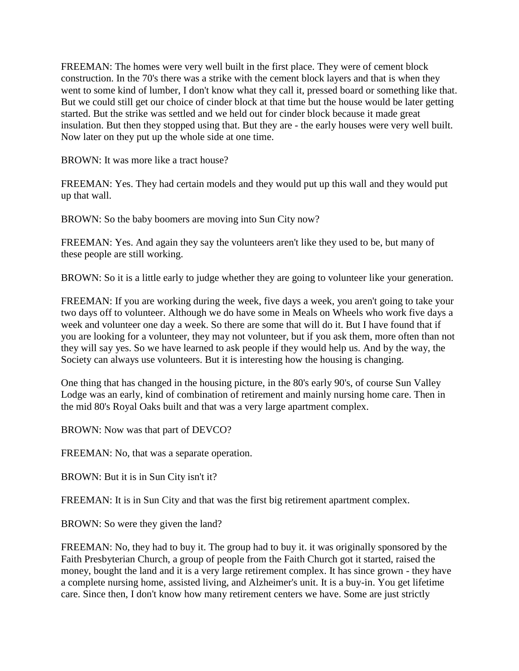FREEMAN: The homes were very well built in the first place. They were of cement block construction. In the 70's there was a strike with the cement block layers and that is when they went to some kind of lumber, I don't know what they call it, pressed board or something like that. But we could still get our choice of cinder block at that time but the house would be later getting started. But the strike was settled and we held out for cinder block because it made great insulation. But then they stopped using that. But they are - the early houses were very well built. Now later on they put up the whole side at one time.

BROWN: It was more like a tract house?

FREEMAN: Yes. They had certain models and they would put up this wall and they would put up that wall.

BROWN: So the baby boomers are moving into Sun City now?

FREEMAN: Yes. And again they say the volunteers aren't like they used to be, but many of these people are still working.

BROWN: So it is a little early to judge whether they are going to volunteer like your generation.

FREEMAN: If you are working during the week, five days a week, you aren't going to take your two days off to volunteer. Although we do have some in Meals on Wheels who work five days a week and volunteer one day a week. So there are some that will do it. But I have found that if you are looking for a volunteer, they may not volunteer, but if you ask them, more often than not they will say yes. So we have learned to ask people if they would help us. And by the way, the Society can always use volunteers. But it is interesting how the housing is changing.

One thing that has changed in the housing picture, in the 80's early 90's, of course Sun Valley Lodge was an early, kind of combination of retirement and mainly nursing home care. Then in the mid 80's Royal Oaks built and that was a very large apartment complex.

BROWN: Now was that part of DEVCO?

FREEMAN: No, that was a separate operation.

BROWN: But it is in Sun City isn't it?

FREEMAN: It is in Sun City and that was the first big retirement apartment complex.

BROWN: So were they given the land?

FREEMAN: No, they had to buy it. The group had to buy it. it was originally sponsored by the Faith Presbyterian Church, a group of people from the Faith Church got it started, raised the money, bought the land and it is a very large retirement complex. It has since grown - they have a complete nursing home, assisted living, and Alzheimer's unit. It is a buy-in. You get lifetime care. Since then, I don't know how many retirement centers we have. Some are just strictly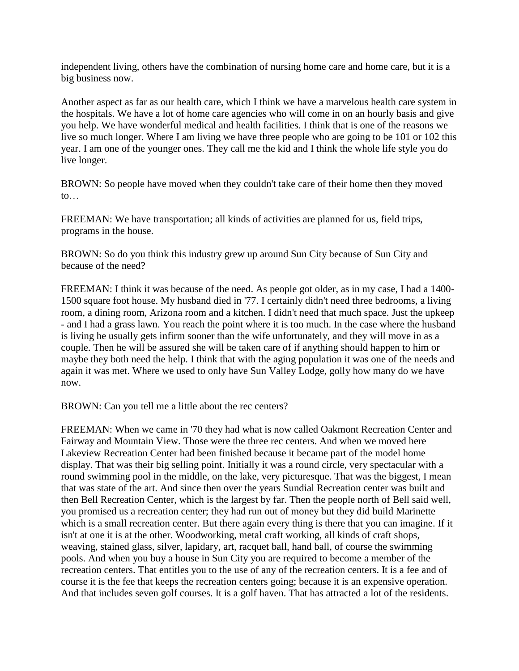independent living, others have the combination of nursing home care and home care, but it is a big business now.

Another aspect as far as our health care, which I think we have a marvelous health care system in the hospitals. We have a lot of home care agencies who will come in on an hourly basis and give you help. We have wonderful medical and health facilities. I think that is one of the reasons we live so much longer. Where I am living we have three people who are going to be 101 or 102 this year. I am one of the younger ones. They call me the kid and I think the whole life style you do live longer.

BROWN: So people have moved when they couldn't take care of their home then they moved  $\mathsf{to}$ ...

FREEMAN: We have transportation; all kinds of activities are planned for us, field trips, programs in the house.

BROWN: So do you think this industry grew up around Sun City because of Sun City and because of the need?

FREEMAN: I think it was because of the need. As people got older, as in my case, I had a 1400- 1500 square foot house. My husband died in '77. I certainly didn't need three bedrooms, a living room, a dining room, Arizona room and a kitchen. I didn't need that much space. Just the upkeep - and I had a grass lawn. You reach the point where it is too much. In the case where the husband is living he usually gets infirm sooner than the wife unfortunately, and they will move in as a couple. Then he will be assured she will be taken care of if anything should happen to him or maybe they both need the help. I think that with the aging population it was one of the needs and again it was met. Where we used to only have Sun Valley Lodge, golly how many do we have now.

BROWN: Can you tell me a little about the rec centers?

FREEMAN: When we came in '70 they had what is now called Oakmont Recreation Center and Fairway and Mountain View. Those were the three rec centers. And when we moved here Lakeview Recreation Center had been finished because it became part of the model home display. That was their big selling point. Initially it was a round circle, very spectacular with a round swimming pool in the middle, on the lake, very picturesque. That was the biggest, I mean that was state of the art. And since then over the years Sundial Recreation center was built and then Bell Recreation Center, which is the largest by far. Then the people north of Bell said well, you promised us a recreation center; they had run out of money but they did build Marinette which is a small recreation center. But there again every thing is there that you can imagine. If it isn't at one it is at the other. Woodworking, metal craft working, all kinds of craft shops, weaving, stained glass, silver, lapidary, art, racquet ball, hand ball, of course the swimming pools. And when you buy a house in Sun City you are required to become a member of the recreation centers. That entitles you to the use of any of the recreation centers. It is a fee and of course it is the fee that keeps the recreation centers going; because it is an expensive operation. And that includes seven golf courses. It is a golf haven. That has attracted a lot of the residents.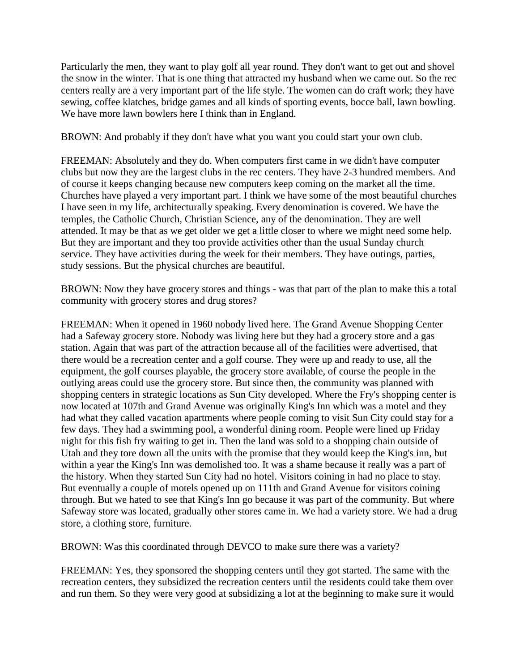Particularly the men, they want to play golf all year round. They don't want to get out and shovel the snow in the winter. That is one thing that attracted my husband when we came out. So the rec centers really are a very important part of the life style. The women can do craft work; they have sewing, coffee klatches, bridge games and all kinds of sporting events, bocce ball, lawn bowling. We have more lawn bowlers here I think than in England.

BROWN: And probably if they don't have what you want you could start your own club.

FREEMAN: Absolutely and they do. When computers first came in we didn't have computer clubs but now they are the largest clubs in the rec centers. They have 2-3 hundred members. And of course it keeps changing because new computers keep coming on the market all the time. Churches have played a very important part. I think we have some of the most beautiful churches I have seen in my life, architecturally speaking. Every denomination is covered. We have the temples, the Catholic Church, Christian Science, any of the denomination. They are well attended. It may be that as we get older we get a little closer to where we might need some help. But they are important and they too provide activities other than the usual Sunday church service. They have activities during the week for their members. They have outings, parties, study sessions. But the physical churches are beautiful.

BROWN: Now they have grocery stores and things - was that part of the plan to make this a total community with grocery stores and drug stores?

FREEMAN: When it opened in 1960 nobody lived here. The Grand Avenue Shopping Center had a Safeway grocery store. Nobody was living here but they had a grocery store and a gas station. Again that was part of the attraction because all of the facilities were advertised, that there would be a recreation center and a golf course. They were up and ready to use, all the equipment, the golf courses playable, the grocery store available, of course the people in the outlying areas could use the grocery store. But since then, the community was planned with shopping centers in strategic locations as Sun City developed. Where the Fry's shopping center is now located at 107th and Grand Avenue was originally King's Inn which was a motel and they had what they called vacation apartments where people coming to visit Sun City could stay for a few days. They had a swimming pool, a wonderful dining room. People were lined up Friday night for this fish fry waiting to get in. Then the land was sold to a shopping chain outside of Utah and they tore down all the units with the promise that they would keep the King's inn, but within a year the King's Inn was demolished too. It was a shame because it really was a part of the history. When they started Sun City had no hotel. Visitors coining in had no place to stay. But eventually a couple of motels opened up on 111th and Grand Avenue for visitors coining through. But we hated to see that King's Inn go because it was part of the community. But where Safeway store was located, gradually other stores came in. We had a variety store. We had a drug store, a clothing store, furniture.

BROWN: Was this coordinated through DEVCO to make sure there was a variety?

FREEMAN: Yes, they sponsored the shopping centers until they got started. The same with the recreation centers, they subsidized the recreation centers until the residents could take them over and run them. So they were very good at subsidizing a lot at the beginning to make sure it would